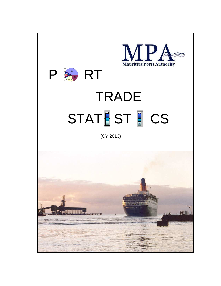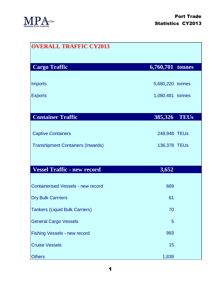

| <b>OVERALL TRAFFIC CY2013</b>             |                        |
|-------------------------------------------|------------------------|
| <b>Cargo Traffic</b>                      | 6,760,701 tonnes       |
| <b>Imports</b>                            | 5,680,220 tonnes       |
| <b>Exports</b>                            | 1,080,481 tonnes       |
|                                           |                        |
| <b>Container Traffic</b>                  | 385,326<br><b>TEUs</b> |
| <b>Captive Containers</b>                 | 248,948 TEUs           |
| <b>Transhipment Containers (Inwards)</b>  | 136,378 TEUs           |
|                                           |                        |
| <b>Vessel Traffic - new record</b>        | 3,652                  |
| <b>Containerised Vessels - new record</b> | 669                    |
| <b>Dry Bulk Carrriers</b>                 | 61                     |
| <b>Tankers (Liquid Bulk Carriers)</b>     | 70                     |
| <b>General Cargo Vessels</b>              | 5                      |
| Fishing Vessels - new record              | 993                    |
| <b>Cruise Vessels</b>                     | 15                     |
| <b>Others</b>                             | 1,839                  |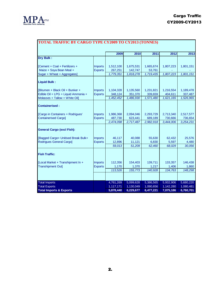

| <b>TOTAL TRAFFIC BY CARGO TYPE CY2009 TO CY2013 (TONNES)</b> |                |           |           |           |           |           |  |  |
|--------------------------------------------------------------|----------------|-----------|-----------|-----------|-----------|-----------|--|--|
|                                                              |                | 2009      | 2010      | 2011      | 2012      | 2013      |  |  |
| <b>Dry Bulk:</b>                                             |                |           |           |           |           |           |  |  |
| [Cement + Coal + Fertilizers +                               | <b>Imports</b> | 1,512,100 | 1,675,531 | 1,665,674 | 1,807,223 | 1,801,151 |  |  |
| Maize + Soya Bean Meal +                                     | <b>Exports</b> | 267,251   | 142,747   | 53,761    |           |           |  |  |
| Sugar + Wheat + Aggregates]                                  |                | 1,779,351 | 1,818,278 | 1,719,435 | 1,807,223 | 1,801,151 |  |  |
| <b>Liquid Bulk:</b>                                          |                |           |           |           |           |           |  |  |
| IBitumen + Black Oil + Bunker +                              | <b>Imports</b> | 1,104,328 | 1,135,560 | 1,231,821 | 1,216,554 | 1,189,478 |  |  |
| Edible Oil + LPG + Liquid Ammonia +                          | <b>Exports</b> | 348,124   | 351,370   | 339,659   | 404,611   | 337,487   |  |  |
| Molasses + Tallow + White Oil]                               |                | 1,452,452 | 1,486,930 | 1,571,480 | 1,621,165 | 1,526,965 |  |  |
| <b>Containerised:</b>                                        |                |           |           |           |           |           |  |  |
| [Cargo in Containers + Rodrigues'                            | <b>Imports</b> | 1,986,368 | 2,094,046 | 2,293,729 | 2,713,340 | 2,517,577 |  |  |
| <b>Containerised Cargo]</b>                                  | <b>Exports</b> | 487,730   | 623,441   | 689,189   | 730,666   | 736,654   |  |  |
|                                                              |                | 2,474,098 | 2,717,487 | 2,982,918 | 3,444,006 | 3,254,231 |  |  |
| <b>General Cargo (excl Fish):</b>                            |                |           |           |           |           |           |  |  |
| Bagged Cargo+ Unitised Break Bulk+                           | <b>Imports</b> | 46,117    | 40,088    | 55,630    | 62,432    | 25,576    |  |  |
| Rodrigues General Cargo]                                     | <b>Exports</b> | 12,896    | 11,121    | 6,830     | 5,597     | 4,480     |  |  |
|                                                              |                | 59,013    | 51,209    | 62,460    | 68,029    | 30,056    |  |  |
| <b>Fish Traffic:</b>                                         |                |           |           |           |           |           |  |  |
| [Local Market + Transhipment In +                            | <b>Imports</b> | 112,356   | 154,403   | 139,711   | 133,357   | 146,438   |  |  |
| <b>Transhipment Out]</b>                                     | <b>Exports</b> | 1,170     | 1,370     | 1,217     | 1,406     | 1,860     |  |  |
|                                                              |                | 113,526   | 155,773   | 140,928   | 134,763   | 148,298   |  |  |
|                                                              |                |           |           |           |           |           |  |  |
| <b>Total Imports</b>                                         |                | 4,761,269 | 5,099,628 | 5,386,565 | 5,932,906 | 5,680,220 |  |  |
| <b>Total Exports</b>                                         |                | 1,117,171 | 1,130,049 | 1,090,656 | 1,142,280 | 1,080,481 |  |  |
| <b>Total Imports &amp; Exports</b>                           |                | 5,878,440 | 6,229,677 | 6,477,221 | 7,075,186 | 6,760,701 |  |  |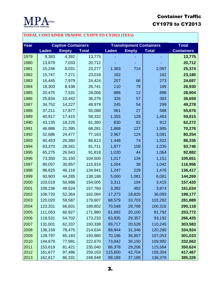

## Container Traffic CY1979 to CY2013

## **TOTAL CONTAINER TRAFFIC CY1979 TO CY2013 (TEUs)**

| Year |              | <b>Captive Containers</b> |              | <b>Transhipment Containers</b> | <b>Total</b> |              |                   |
|------|--------------|---------------------------|--------------|--------------------------------|--------------|--------------|-------------------|
|      | <b>Laden</b> | <b>Empty</b>              | <b>Total</b> | Laden                          | <b>Empty</b> | <b>Total</b> | <b>Containers</b> |
| 1979 | 9,383        | 4,392                     | 13,775       |                                |              |              | 13,775            |
| 1980 | 13,679       | 7,033                     | 20,712       |                                |              |              | 20,712            |
| 1981 | 15,246       | 8,031                     | 23,277       | 1,383                          | 714          | 2,097        | 25,374            |
| 1982 | 15,747       | 7,271                     | 23,018       | 162                            |              | 162          | 23,180            |
| 1983 | 16,445       | 7,979                     | 24,424       | 207                            | 66           | 273          | 24,697            |
| 1984 | 18,303       | 8,438                     | 26,741       | 110                            | 79           | 189          | 26,930            |
| 1985 | 20,475       | 7,531                     | 28,006       | 886                            | 12           | 898          | 28,904            |
| 1986 | 25,834       | 10,442                    | 36,276       | 326                            | 57           | 383          | 36,659            |
| 1987 | 34,752       | 14,227                    | 48,979       | 245                            | 54           | 299          | 49,278            |
| 1988 | 37,211       | 17,877                    | 55,088       | 561                            | 27           | 588          | 55,676            |
| 1989 | 40,917       | 17,415                    | 58,332       | 1,355                          | 128          | 1,483        | 59,815            |
| 1990 | 43,135       | 18,225                    | 61,360       | 830                            | 82           | 912          | 62,272            |
| 1991 | 46,886       | 21,395                    | 68,281       | 1,868                          | 127          | 1,995        | 70,276            |
| 1992 | 52,686       | 24,477                    | 77,163       | 2,967                          | 124          | 3,091        | 80,254            |
| 1993 | 60,453       | 26,360                    | 86,813       | 1,448                          | 74           | 1,522        | 88,335            |
| 1994 | 63,370       | 28,341                    | 91,711       | 1,877                          | 158          | 2,035        | 93,746            |
| 1995 | 65,275       | 26,543                    | 91,818       | 1,020                          | 44           | 1,064        | 92,882            |
| 1996 | 73,350       | 31,150                    | 104,500      | 1,017                          | 134          | 1,151        | 105,651           |
| 1997 | 80,057       | 35,857                    | 115,914      | 1,004                          | 38           | 1,042        | 116,956           |
| 1998 | 88,825       | 46,116                    | 134,941      | 1,247                          | 229          | 1,476        | 136,417           |
| 1999 | 93,903       | 44,285                    | 138,188      | 5,000                          | 1,081        | 6,081        | 144,269           |
| 2000 | 103,019      | 50,986                    | 154,005      | 3,311                          | 104          | 3,415        | 157,420           |
| 2001 | 108,236      | 49,524                    | 157,760      | 3,392                          | 482          | 3,874        | 161,634           |
| 2002 | 109,720      | 52,364                    | 162,084      | 17,273                         | 18,820       | 36,093       | 198,177           |
| 2003 | 120,020      | 59,587                    | 179,607      | 68,579                         | 33,703       | 102,282      | 281,889           |
| 2004 | 123,201      | 66,601                    | 189,802      | 70,548                         | 29,768       | 100,316      | 290,118           |
| 2005 | 111,053      | 60,927                    | 171,980      | 61,692                         | 20,100       | 81,792       | 253,772           |
| 2006 | 118,531      | 54,702                    | 173,233      | 63,835                         | 29,357       | 93,192       | 266,425           |
| 2007 | 131,001      | 62,337                    | 193,338      | 89,717                         | 20,528       | 110,245      | 303,583           |
| 2008 | 136,159      | 78,475                    | 214,634      | 88,944                         | 31,346       | 120,290      | 334,924           |
| 2009 | 128,797      | 65,183                    | 193,980      | 70,196                         | 36,857       | 107,053      | 301,033           |
| 2010 | 144,679      | 77,991                    | 222,670      | 73,842                         | 36,150       | 109,992      | 332,662           |
| 2011 | 153,619      | 81,421                    | 235,040      | 86,378                         | 29,206       | 115,584      | 350,624           |
| 2012 | 161,677      | 97,486                    | 259,163      | 115,600                        | 42,704       | 158,304      | 417,467           |
| 2013 | 162,617      | 86,331                    | 248,948      | 99,189                         | 37,189       | 136,378      | 385,326           |